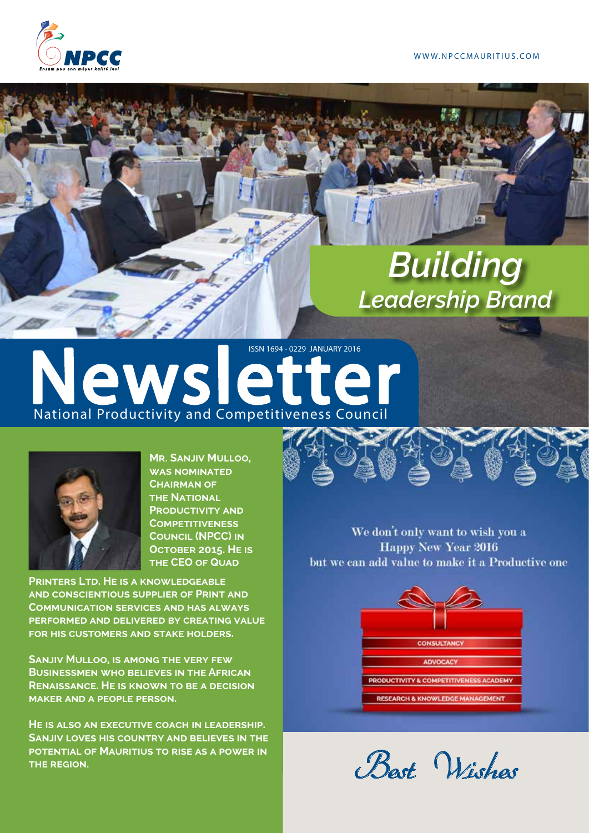

# *Building Leadership Brand*

# National Productivity and Competitiveness Council **ISSN 1694 - 0229 JANUARY 2016**



**Mr. Sanjiv Mulloo, was nominated Chairman of THE NATIONAL PRODUCTIVITY AND Competitiveness Council (NPCC) in October 2015. He is THE CEO OF QUAD** 

**Printers Ltd. He is a knowledgeable and conscientious supplier of Print and Communication services and has always performed and delivered by creating value for his customers and stake holders.**

**Sanjiv Mulloo, is among the very few Businessmen who believes in the African Renaissance. He is known to be a decision maker and a people person.**

**He is also an executive coach in leadership. Sanjiv loves his country and believes in the potential of Mauritius to rise as a power in the region.**



We don't only want to wish you a **Happy New Year 2016** but we can add value to make it a Productive one



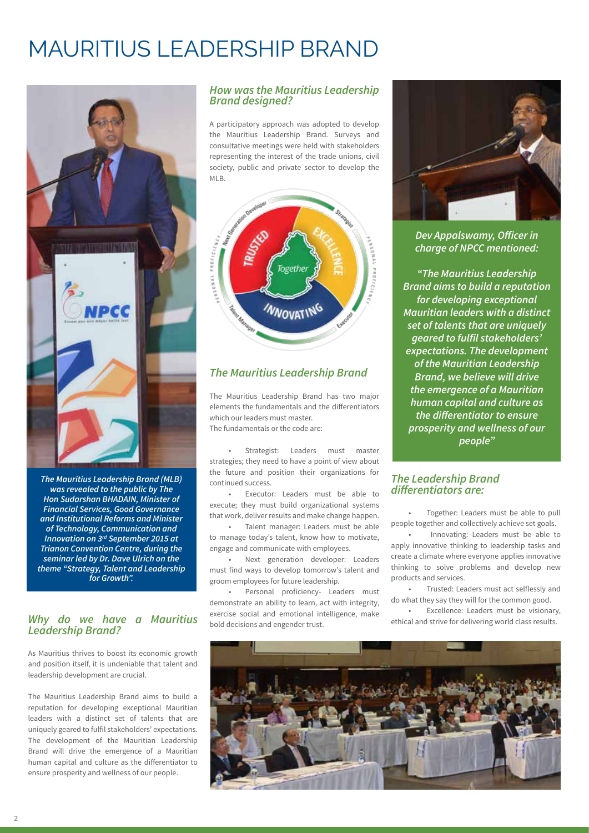## MAURITIUS LEADERSHIP BRAND



*The Mauritius Leadership Brand (MLB)*  **was revealed to the public by The Hon Sudarshan BHADAIN, Minister of Financial Services, Good Governance and Institutional Reforms and Minister of Technology, Communication and**  *Innovation on 3rd September 2015 at*  **Trianon Convention Centre, during the seminar led by Dr. Dave Ulrich on the**  *theme "Strategy, Talent and Leadership*  **for Growth".**

### *Why do we have a Mauritius Leadership Brand?*

As Mauritius thrives to boost its economic growth and position itself, it is undeniable that talent and leadership development are crucial.

The Mauritius Leadership Brand aims to build a reputation for developing exceptional Mauritian leaders with a distinct set of talents that are uniquely geared to fulfil stakeholders' expectations. The development of the Mauritian Leadership Brand will drive the emergence of a Mauritian human capital and culture as the differentiator to ensure prosperity and wellness of our people.

### *How was the Mauritius Leadership Brand designed?*

A participatory approach was adopted to develop the Mauritius Leadership Brand. Surveys and consultative meetings were held with stakeholders representing the interest of the trade unions, civil society, public and private sector to develop the MLB.



### *The Mauritius Leadership Brand*

The Mauritius Leadership Brand has two major elements the fundamentals and the differentiators which our leaders must master. The fundamentals or the code are:

 • Strategist: Leaders must master strategies; they need to have a point of view about the future and position their organizations for continued success.

 • Executor: Leaders must be able to execute; they must build organizational systems that work, deliver results and make change happen.

 • Talent manager: Leaders must be able to manage today's talent, know how to motivate, engage and communicate with employees.

 • Next generation developer: Leaders must find ways to develop tomorrow's talent and groom employees for future leadership.

 • Personal proficiency- Leaders must demonstrate an ability to learn, act with integrity, exercise social and emotional intelligence, make bold decisions and engender trust.



**Dev Appalswamy, Officer in charge of NPCC mentioned:**

*"The Mauritius Leadership Brand aims to build a reputation*  **for developing exceptional Mauritian leaders with a distinct set of talents that are uniquely geared to fulfil stakeholders' expectations. The development of the Mauritian Leadership**  *Brand, we believe will drive*  **the emergence of a Mauritian human capital and culture as the differentiator to ensure prosperity and wellness of our**  *people"*

### *The Leadership Brand*  **differentiators are:**

 • Together: Leaders must be able to pull people together and collectively achieve set goals.

 • Innovating: Leaders must be able to apply innovative thinking to leadership tasks and create a climate where everyone applies innovative thinking to solve problems and develop new products and services.

 • Trusted: Leaders must act selflessly and do what they say they will for the common good.

 • Excellence: Leaders must be visionary, ethical and strive for delivering world class results.

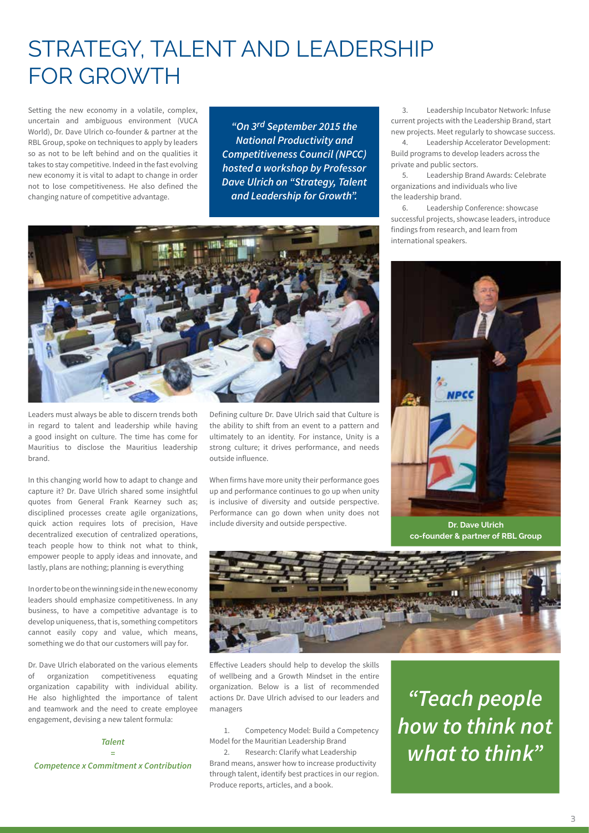## STRATEGY, TALENT AND LEADERSHIP FOR GROWTH

Setting the new economy in a volatile, complex, uncertain and ambiguous environment (VUCA World), Dr. Dave Ulrich co-founder & partner at the RBL Group, spoke on techniques to apply by leaders so as not to be left behind and on the qualities it takes to stay competitive. Indeed in the fast evolving new economy it is vital to adapt to change in order not to lose competitiveness. He also defined the changing nature of competitive advantage.

*"On 3rd September 2015 the*  **National Productivity and Competitiveness Council (NPCC) hosted a workshop by Professor Dave Ulrich on "Strategy, Talent and Leadership for Growth".**



Leaders must always be able to discern trends both in regard to talent and leadership while having a good insight on culture. The time has come for Mauritius to disclose the Mauritius leadership brand.

In this changing world how to adapt to change and capture it? Dr. Dave Ulrich shared some insightful quotes from General Frank Kearney such as; disciplined processes create agile organizations, quick action requires lots of precision, Have decentralized execution of centralized operations, teach people how to think not what to think, empower people to apply ideas and innovate, and lastly, plans are nothing; planning is everything

In order to be on the winning side in the new economy leaders should emphasize competitiveness. In any business, to have a competitive advantage is to develop uniqueness, that is, something competitors cannot easily copy and value, which means, something we do that our customers will pay for.

Dr. Dave Ulrich elaborated on the various elements of organization competitiveness equating organization capability with individual ability. He also highlighted the importance of talent and teamwork and the need to create employee engagement, devising a new talent formula:

### *Talent =*

**Competence x Commitment x Contribution**

Defining culture Dr. Dave Ulrich said that Culture is the ability to shift from an event to a pattern and ultimately to an identity. For instance, Unity is a strong culture; it drives performance, and needs outside influence.

When firms have more unity their performance goes up and performance continues to go up when unity is inclusive of diversity and outside perspective. Performance can go down when unity does not include diversity and outside perspective.

 3. Leadership Incubator Network: Infuse current projects with the Leadership Brand, start new projects. Meet regularly to showcase success.

 4. Leadership Accelerator Development: Build programs to develop leaders across the private and public sectors.

 5. Leadership Brand Awards: Celebrate organizations and individuals who live the leadership brand.

 6. Leadership Conference: showcase successful projects, showcase leaders, introduce findings from research, and learn from international speakers.



**Dr. Dave Ulrich co-founder & partner of RBL Group**



Effective Leaders should help to develop the skills of wellbeing and a Growth Mindset in the entire organization. Below is a list of recommended actions Dr. Dave Ulrich advised to our leaders and managers

 1. Competency Model: Build a Competency Model for the Mauritian Leadership Brand

 2. Research: Clarify what Leadership Brand means, answer how to increase productivity through talent, identify best practices in our region. Produce reports, articles, and a book.

**"Teach people how to think not what to think"**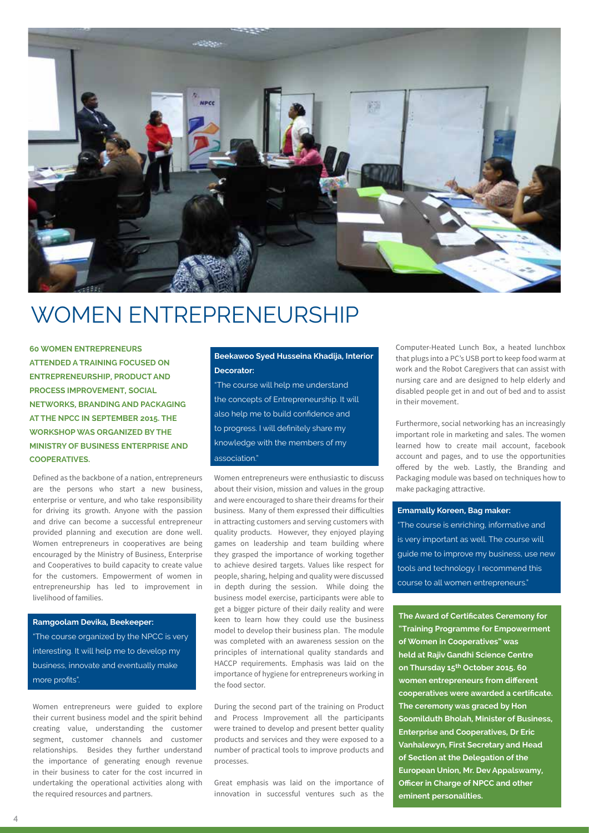

## WOMEN ENTREPRENEURSHIP

**60 WOMEN ENTREPRENEURS ATTENDED A TRAINING FOCUSED ON ENTREPRENEURSHIP, PRODUCT AND PROCESS IMPROVEMENT, SOCIAL NETWORKS, BRANDING AND PACKAGING AT THE NPCC IN SEPTEMBER 2015. THE WORKSHOP WAS ORGANIZED BY THE MINISTRY OF BUSINESS ENTERPRISE AND COOPERATIVES.**

Defined as the backbone of a nation, entrepreneurs are the persons who start a new business, enterprise or venture, and who take responsibility for driving its growth. Anyone with the passion and drive can become a successful entrepreneur provided planning and execution are done well. Women entrepreneurs in cooperatives are being encouraged by the Ministry of Business, Enterprise and Cooperatives to build capacity to create value for the customers. Empowerment of women in entrepreneurship has led to improvement in livelihood of families.

**Ramgoolam Devika, Beekeeper:** "The course organized by the NPCC is very interesting. It will help me to develop my business, innovate and eventually make more profits".

Women entrepreneurs were guided to explore their current business model and the spirit behind creating value, understanding the customer segment, customer channels and customer relationships. Besides they further understand the importance of generating enough revenue in their business to cater for the cost incurred in undertaking the operational activities along with the required resources and partners.

### **Beekawoo Syed Husseina Khadija, Interior Decorator:**

"The course will help me understand the concepts of Entrepreneurship. It will also help me to build confidence and to progress. I will definitely share my knowledge with the members of my association."

Women entrepreneurs were enthusiastic to discuss about their vision, mission and values in the group and were encouraged to share their dreams for their business. Many of them expressed their difficulties in attracting customers and serving customers with quality products. However, they enjoyed playing games on leadership and team building where they grasped the importance of working together to achieve desired targets. Values like respect for people, sharing, helping and quality were discussed in depth during the session. While doing the business model exercise, participants were able to get a bigger picture of their daily reality and were keen to learn how they could use the business model to develop their business plan. The module was completed with an awareness session on the principles of international quality standards and HACCP requirements. Emphasis was laid on the importance of hygiene for entrepreneurs working in the food sector.

During the second part of the training on Product and Process Improvement all the participants were trained to develop and present better quality products and services and they were exposed to a number of practical tools to improve products and processes.

Great emphasis was laid on the importance of innovation in successful ventures such as the

Computer-Heated Lunch Box, a heated lunchbox that plugs into a PC's USB port to keep food warm at work and the Robot Caregivers that can assist with nursing care and are designed to help elderly and disabled people get in and out of bed and to assist in their movement.

Furthermore, social networking has an increasingly important role in marketing and sales. The women learned how to create mail account, facebook account and pages, and to use the opportunities offered by the web. Lastly, the Branding and Packaging module was based on techniques how to make packaging attractive.

#### **Emamally Koreen, Bag maker:**

"The course is enriching, informative and is very important as well. The course will guide me to improve my business, use new tools and technology. I recommend this course to all women entrepreneurs."

**The Award of Certificates Ceremony for "Training Programme for Empowerment of Women in Cooperatives" was held at Rajiv Gandhi Science Centre on Thursday 15th October 2015. 60 women entrepreneurs from different cooperatives were awarded a certificate. The ceremony was graced by Hon Soomilduth Bholah, Minister of Business, Enterprise and Cooperatives, Dr Eric Vanhalewyn, First Secretary and Head of Section at the Delegation of the European Union, Mr. Dev Appalswamy, Officer in Charge of NPCC and other eminent personalities.**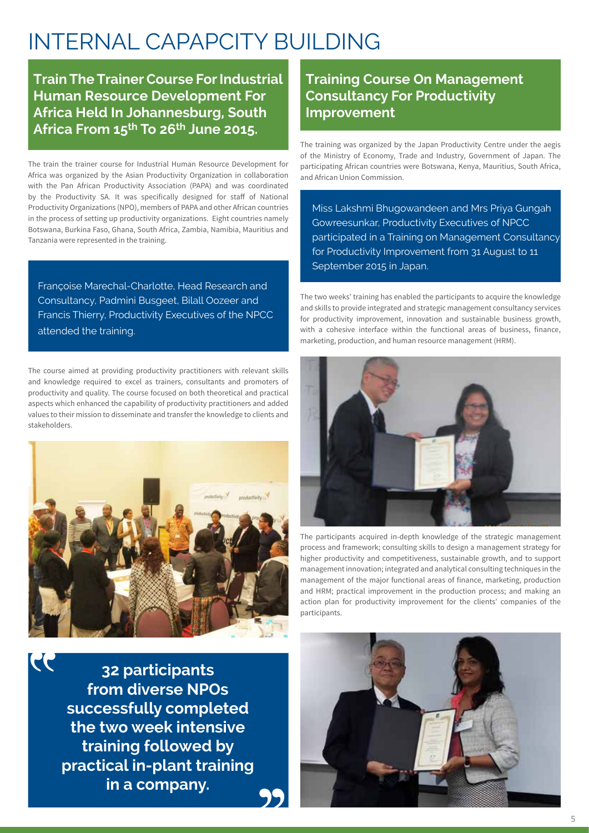## INTERNAL CAPAPCITY BUILDING

**Train The Trainer Course For Industrial Human Resource Development For Africa Held In Johannesburg, South Africa From 15th To 26th June 2015.**

The train the trainer course for Industrial Human Resource Development for Africa was organized by the Asian Productivity Organization in collaboration with the Pan African Productivity Association (PAPA) and was coordinated by the Productivity SA. It was specifically designed for staff of National Productivity Organizations (NPO), members of PAPA and other African countries in the process of setting up productivity organizations. Eight countries namely Botswana, Burkina Faso, Ghana, South Africa, Zambia, Namibia, Mauritius and Tanzania were represented in the training.

Françoise Marechal-Charlotte, Head Research and Consultancy, Padmini Busgeet, Bilall Oozeer and Francis Thierry, Productivity Executives of the NPCC attended the training.

The course aimed at providing productivity practitioners with relevant skills and knowledge required to excel as trainers, consultants and promoters of productivity and quality. The course focused on both theoretical and practical aspects which enhanced the capability of productivity practitioners and added values to their mission to disseminate and transfer the knowledge to clients and stakeholders.



**32 participants from diverse NPOs successfully completed the two week intensive training followed by practical in-plant training in a company.**

27

## **Training Course On Management Consultancy For Productivity Improvement**

The training was organized by the Japan Productivity Centre under the aegis of the Ministry of Economy, Trade and Industry, Government of Japan. The participating African countries were Botswana, Kenya, Mauritius, South Africa, and African Union Commission.

Miss Lakshmi Bhugowandeen and Mrs Priya Gungah Gowreesunkar, Productivity Executives of NPCC participated in a Training on Management Consultancy for Productivity Improvement from 31 August to 11 September 2015 in Japan.

The two weeks' training has enabled the participants to acquire the knowledge and skills to provide integrated and strategic management consultancy services for productivity improvement, innovation and sustainable business growth, with a cohesive interface within the functional areas of business, finance, marketing, production, and human resource management (HRM).



The participants acquired in-depth knowledge of the strategic management process and framework; consulting skills to design a management strategy for higher productivity and competitiveness, sustainable growth, and to support management innovation; integrated and analytical consulting techniques in the management of the major functional areas of finance, marketing, production and HRM; practical improvement in the production process; and making an action plan for productivity improvement for the clients' companies of the participants.

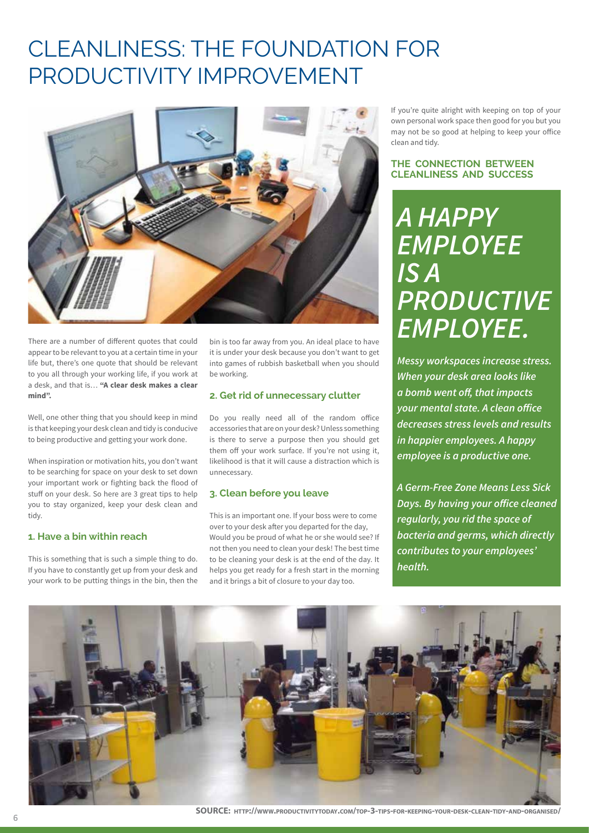## CLEANLINESS: THE FOUNDATION FOR PRODUCTIVITY IMPROVEMENT



There are a number of different quotes that could appear to be relevant to you at a certain time in your life but, there's one quote that should be relevant to you all through your working life, if you work at a desk, and that is… **"A clear desk makes a clear mind".**

Well, one other thing that you should keep in mind is that keeping your desk clean and tidy is conducive to being productive and getting your work done.

When inspiration or motivation hits, you don't want to be searching for space on your desk to set down your important work or fighting back the flood of stuff on your desk. So here are 3 great tips to help you to stay organized, keep your desk clean and tidy.

### **1. Have a bin within reach**

This is something that is such a simple thing to do. If you have to constantly get up from your desk and your work to be putting things in the bin, then the bin is too far away from you. An ideal place to have it is under your desk because you don't want to get into games of rubbish basketball when you should be working.

### **2. Get rid of unnecessary clutter**

Do you really need all of the random office accessories that are on your desk? Unless something is there to serve a purpose then you should get them off your work surface. If you're not using it, likelihood is that it will cause a distraction which is unnecessary.

### **3. Clean before you leave**

This is an important one. If your boss were to come over to your desk after you departed for the day, Would you be proud of what he or she would see? If not then you need to clean your desk! The best time to be cleaning your desk is at the end of the day. It helps you get ready for a fresh start in the morning and it brings a bit of closure to your day too.

If you're quite alright with keeping on top of your own personal work space then good for you but you may not be so good at helping to keep your office clean and tidy.

#### **THE CONNECTION BETWEEN CLEANLINESS AND SUCCESS**

## **A HAPPY EMPLOYEE**  *IS A*  **PRODUCTIVE EMPLOYEE.**

**Messy workspaces increase stress. When your desk area looks like a bomb went off, that impacts your mental state. A clean office decreases stress levels and results in happier employees. A happy employee is a productive one.**

**A Germ-Free Zone Means Less Sick Days. By having your office cleaned regularly, you rid the space of bacteria and germs, which directly contributes to your employees' health.** 



**SOURCE: http://www.productivitytoday.com/top-3-tips-for-keeping-your-desk-clean-tidy-and-organised/**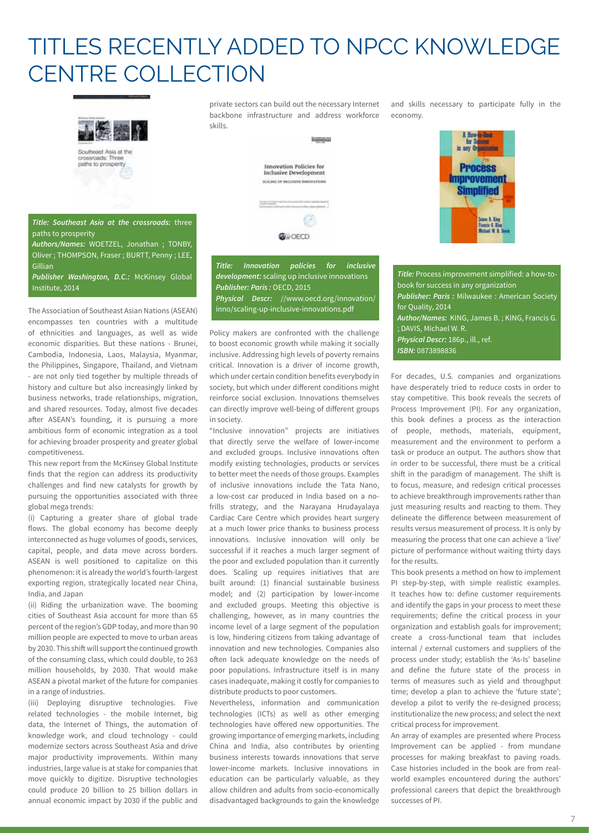## TITLES RECENTLY ADDED TO NPCC KNOWLEDGE CENTRE COLLECTION



private sectors can build out the necessary Internet backbone infrastructure and address workforce skills.

**Innovation Policies for<br>Inclusive Development** 

hangon

and skills necessary to participate fully in the economy.

> **Process** nprovement **Simplified**

> > net R. King<br>secis G. King<br>clari W. R. I

65. **CONOFCD Title: Innovation policies for inclusive** 

**development:** scaling up inclusive innovations **Publisher: Paris :** OECD, 2015 **Physical Descr:** //www.oecd.org/innovation/ inno/scaling-up-inclusive-innovations.pdf

Policy makers are confronted with the challenge to boost economic growth while making it socially inclusive. Addressing high levels of poverty remains critical. Innovation is a driver of income growth, which under certain condition benefits everybody in society, but which under different conditions might reinforce social exclusion. Innovations themselves can directly improve well-being of different groups in society.

"Inclusive innovation" projects are initiatives that directly serve the welfare of lower-income and excluded groups. Inclusive innovations often modify existing technologies, products or services to better meet the needs of those groups. Examples of inclusive innovations include the Tata Nano, a low-cost car produced in India based on a nofrills strategy, and the Narayana Hrudayalaya Cardiac Care Centre which provides heart surgery at a much lower price thanks to business process innovations. Inclusive innovation will only be successful if it reaches a much larger segment of the poor and excluded population than it currently does. Scaling up requires initiatives that are built around: (1) financial sustainable business model; and (2) participation by lower-income and excluded groups. Meeting this objective is challenging, however, as in many countries the income level of a large segment of the population is low, hindering citizens from taking advantage of innovation and new technologies. Companies also often lack adequate knowledge on the needs of poor populations. Infrastructure itself is in many cases inadequate, making it costly for companies to distribute products to poor customers.

Nevertheless, information and communication technologies (ICTs) as well as other emerging technologies have offered new opportunities. The growing importance of emerging markets, including China and India, also contributes by orienting business interests towards innovations that serve lower-income markets. Inclusive innovations in education can be particularly valuable, as they allow children and adults from socio-economically disadvantaged backgrounds to gain the knowledge

**Title:** Process improvement simplified: a how-tobook for success in any organization **Publisher: Paris :** Milwaukee : American Society for Quality, 2014 **Author/Names:** KING, James B. ; KING, Francis G. ; DAVIS, Michael W. R. **Physical Descr:** 186p., ill., ref. **ISBN:** 0873898836

For decades, U.S. companies and organizations have desperately tried to reduce costs in order to stay competitive. This book reveals the secrets of Process Improvement (PI). For any organization, this book defines a process as the interaction of people, methods, materials, equipment, measurement and the environment to perform a task or produce an output. The authors show that in order to be successful, there must be a critical shift in the paradigm of management. The shift is to focus, measure, and redesign critical processes to achieve breakthrough improvements rather than just measuring results and reacting to them. They delineate the difference between measurement of results versus measurement of process. It is only by measuring the process that one can achieve a 'live' picture of performance without waiting thirty days for the results.

This book presents a method on how to implement PI step-by-step, with simple realistic examples. It teaches how to: define customer requirements and identify the gaps in your process to meet these requirements; define the critical process in your organization and establish goals for improvement; create a cross-functional team that includes internal / external customers and suppliers of the process under study; establish the 'As-Is' baseline and define the future state of the process in terms of measures such as yield and throughput time; develop a plan to achieve the 'future state'; develop a pilot to verify the re-designed process; institutionalize the new process; and select the next critical process for improvement.

An array of examples are presented where Process Improvement can be applied - from mundane processes for making breakfast to paving roads. Case histories included in the book are from realworld examples encountered during the authors' professional careers that depict the breakthrough successes of PI.

**Title: Southeast Asia at the crossroads:** three paths to prosperity

**Authors/Names:** WOETZEL, Jonathan ; TONBY, Oliver ; THOMPSON, Fraser ; BURTT, Penny ; LEE, Gillian

**Publisher Washington, D.C.:** McKinsey Global Institute, 2014

The Association of Southeast Asian Nations (ASEAN) encompasses ten countries with a multitude of ethnicities and languages, as well as wide economic disparities. But these nations - Brunei, Cambodia, Indonesia, Laos, Malaysia, Myanmar, the Philippines, Singapore, Thailand, and Vietnam - are not only tied together by multiple threads of history and culture but also increasingly linked by business networks, trade relationships, migration, and shared resources. Today, almost five decades after ASEAN's founding, it is pursuing a more ambitious form of economic integration as a tool for achieving broader prosperity and greater global competitiveness.

This new report from the McKinsey Global Institute finds that the region can address its productivity challenges and find new catalysts for growth by pursuing the opportunities associated with three global mega trends:

(i) Capturing a greater share of global trade flows. The global economy has become deeply interconnected as huge volumes of goods, services, capital, people, and data move across borders. ASEAN is well positioned to capitalize on this phenomenon: it is already the world's fourth-largest exporting region, strategically located near China, India, and Japan

(ii) Riding the urbanization wave. The booming cities of Southeast Asia account for more than 65 percent of the region's GDP today, and more than 90 million people are expected to move to urban areas by 2030. This shift will support the continued growth of the consuming class, which could double, to 263 million households, by 2030. That would make ASEAN a pivotal market of the future for companies in a range of industries.

(iii) Deploying disruptive technologies. Five related technologies - the mobile Internet, big data, the Internet of Things, the automation of knowledge work, and cloud technology - could modernize sectors across Southeast Asia and drive major productivity improvements. Within many industries, large value is at stake for companies that move quickly to digitize. Disruptive technologies could produce 20 billion to 25 billion dollars in annual economic impact by 2030 if the public and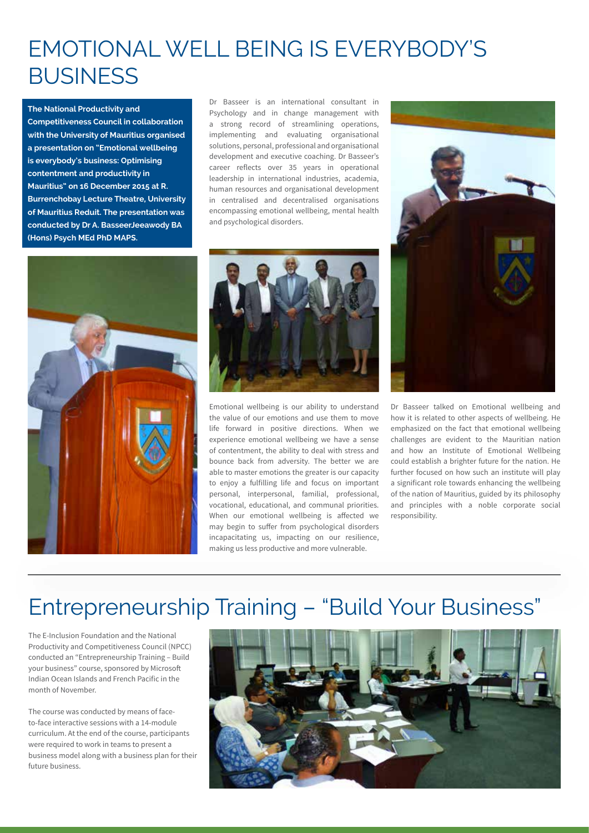## EMOTIONAL WELL BEING IS EVERYBODY'S **BUSINESS**

**The National Productivity and Competitiveness Council in collaboration with the University of Mauritius organised a presentation on "Emotional wellbeing is everybody's business: Optimising contentment and productivity in Mauritius" on 16 December 2015 at R. Burrenchobay Lecture Theatre, University of Mauritius Reduit. The presentation was conducted by Dr A. BasseerJeeawody BA (Hons) Psych MEd PhD MAPS.**

Dr Basseer is an international consultant in Psychology and in change management with a strong record of streamlining operations, implementing and evaluating organisational solutions, personal, professional and organisational development and executive coaching. Dr Basseer's career reflects over 35 years in operational leadership in international industries, academia, human resources and organisational development in centralised and decentralised organisations encompassing emotional wellbeing, mental health and psychological disorders.





Emotional wellbeing is our ability to understand the value of our emotions and use them to move life forward in positive directions. When we experience emotional wellbeing we have a sense of contentment, the ability to deal with stress and bounce back from adversity. The better we are able to master emotions the greater is our capacity to enjoy a fulfilling life and focus on important personal, interpersonal, familial, professional, vocational, educational, and communal priorities. When our emotional wellbeing is affected we may begin to suffer from psychological disorders incapacitating us, impacting on our resilience, making us less productive and more vulnerable.



Dr Basseer talked on Emotional wellbeing and how it is related to other aspects of wellbeing. He emphasized on the fact that emotional wellbeing challenges are evident to the Mauritian nation and how an Institute of Emotional Wellbeing could establish a brighter future for the nation. He further focused on how such an institute will play a significant role towards enhancing the wellbeing of the nation of Mauritius, guided by its philosophy and principles with a noble corporate social responsibility.

## Entrepreneurship Training – "Build Your Business"

The E-Inclusion Foundation and the National Productivity and Competitiveness Council (NPCC) conducted an "Entrepreneurship Training – Build your business" course, sponsored by Microsoft Indian Ocean Islands and French Pacific in the month of November.

The course was conducted by means of faceto-face interactive sessions with a 14-module curriculum. At the end of the course, participants were required to work in teams to present a business model along with a business plan for their future business.